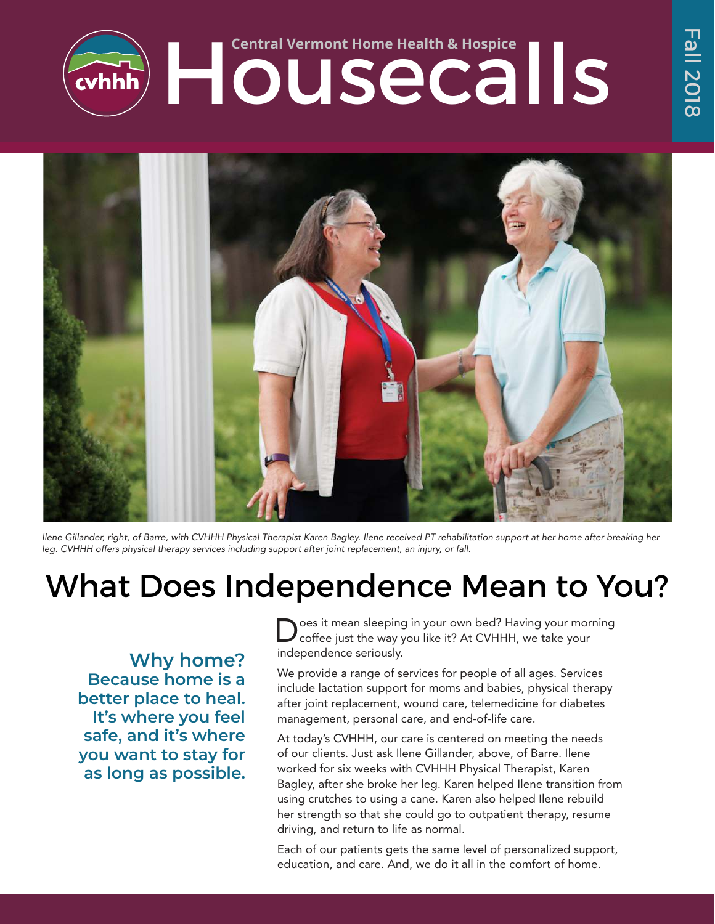



Ilene Gillander, right, of Barre, with CVHHH Physical Therapist Karen Bagley. Ilene received PT rehabilitation support at her home after breaking her leg. CVHHH offers physical therapy services including support after joint replacement, an injury, or fall.

## What Does Independence Mean to You?

**Why home? Because home is a better place to heal. It's where you feel safe, and it's where you want to stay for as long as possible.**

oes it mean sleeping in your own bed? Having your morning coffee just the way you like it? At CVHHH, we take your independence seriously.

We provide a range of services for people of all ages. Services include lactation support for moms and babies, physical therapy after joint replacement, wound care, telemedicine for diabetes management, personal care, and end-of-life care.

At today's CVHHH, our care is centered on meeting the needs of our clients. Just ask Ilene Gillander, above, of Barre. Ilene worked for six weeks with CVHHH Physical Therapist, Karen Bagley, after she broke her leg. Karen helped Ilene transition from using crutches to using a cane. Karen also helped Ilene rebuild her strength so that she could go to outpatient therapy, resume driving, and return to life as normal.

Each of our patients gets the same level of personalized support, education, and care. And, we do it all in the comfort of home.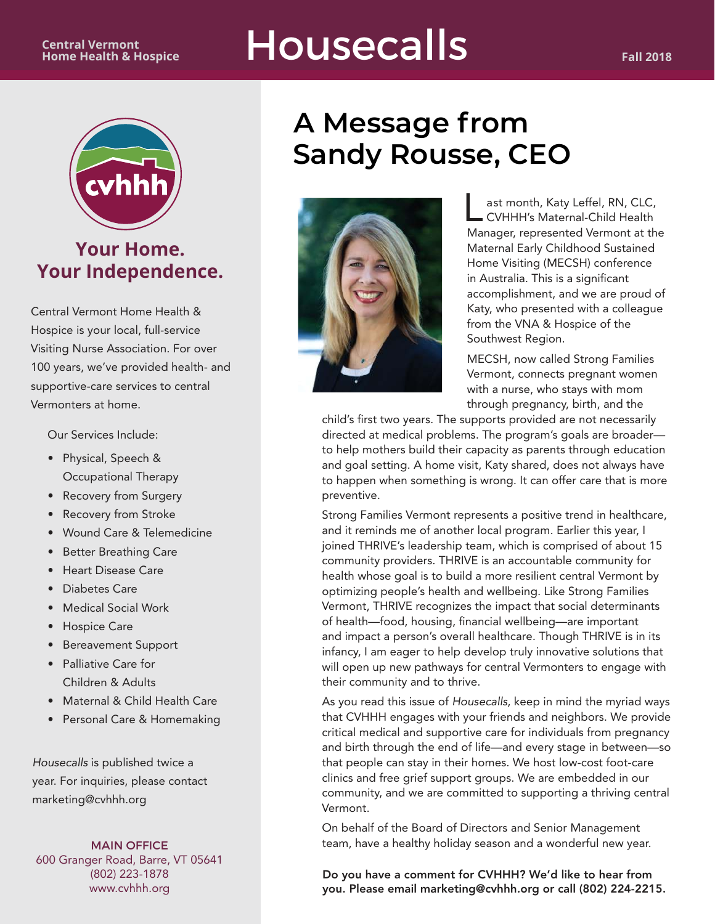

### **Your Home. Your Independence.**

Central Vermont Home Health & Hospice is your local, full-service Visiting Nurse Association. For over 100 years, we've provided health- and supportive-care services to central Vermonters at home.

Our Services Include:

- • Physical, Speech & Occupational Therapy
- Recovery from Surgery
- Recovery from Stroke
- • Wound Care & Telemedicine
- • Better Breathing Care
- • Heart Disease Care
- • Diabetes Care
- • Medical Social Work
- • Hospice Care
- • Bereavement Support
- • Palliative Care for Children & Adults
- Maternal & Child Health Care
- • Personal Care & Homemaking

Housecalls is published twice a year. For inquiries, please contact marketing@cvhhh.org

MAIN OFFICE 600 Granger Road, Barre, VT 05641 (802) 223-1878 www.cvhhh.org

## **A Message from Sandy Rousse, CEO**



 $\overline{\mathsf{L}}$ ast month, Katy Leffel, RN, CLC, CVHHH's Maternal-Child Health Manager, represented Vermont at the Maternal Early Childhood Sustained Home Visiting (MECSH) conference in Australia. This is a significant accomplishment, and we are proud of Katy, who presented with a colleague from the VNA & Hospice of the Southwest Region.

MECSH, now called Strong Families Vermont, connects pregnant women with a nurse, who stays with mom through pregnancy, birth, and the

child's first two years. The supports provided are not necessarily directed at medical problems. The program's goals are broader to help mothers build their capacity as parents through education and goal setting. A home visit, Katy shared, does not always have to happen when something is wrong. It can offer care that is more preventive.

Strong Families Vermont represents a positive trend in healthcare, and it reminds me of another local program. Earlier this year, I joined THRIVE's leadership team, which is comprised of about 15 community providers. THRIVE is an accountable community for health whose goal is to build a more resilient central Vermont by optimizing people's health and wellbeing. Like Strong Families Vermont, THRIVE recognizes the impact that social determinants of health—food, housing, financial wellbeing—are important and impact a person's overall healthcare. Though THRIVE is in its infancy, I am eager to help develop truly innovative solutions that will open up new pathways for central Vermonters to engage with their community and to thrive.

As you read this issue of Housecalls, keep in mind the myriad ways that CVHHH engages with your friends and neighbors. We provide critical medical and supportive care for individuals from pregnancy and birth through the end of life—and every stage in between—so that people can stay in their homes. We host low-cost foot-care clinics and free grief support groups. We are embedded in our community, and we are committed to supporting a thriving central Vermont.

On behalf of the Board of Directors and Senior Management team, have a healthy holiday season and a wonderful new year.

Do you have a comment for CVHHH? We'd like to hear from you. Please email marketing@cvhhh.org or call (802) 224-2215.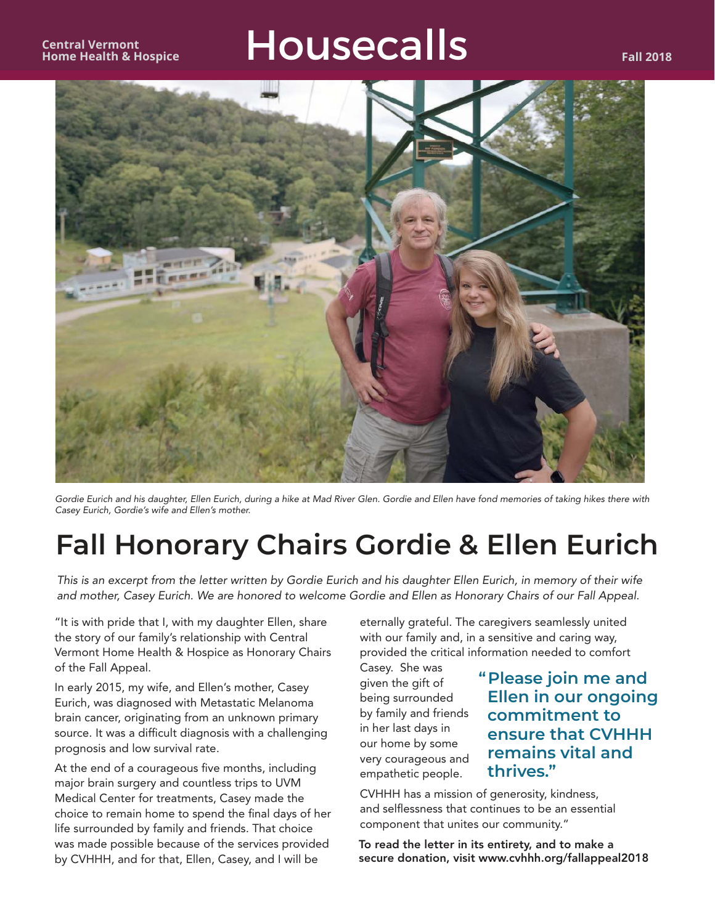

Gordie Eurich and his daughter, Ellen Eurich, during a hike at Mad River Glen. Gordie and Ellen have fond memories of taking hikes there with Casey Eurich, Gordie's wife and Ellen's mother.

## **Fall Honorary Chairs Gordie & Ellen Eurich**

This is an excerpt from the letter written by Gordie Eurich and his daughter Ellen Eurich, in memory of their wife and mother, Casey Eurich. We are honored to welcome Gordie and Ellen as Honorary Chairs of our Fall Appeal.

"It is with pride that I, with my daughter Ellen, share the story of our family's relationship with Central Vermont Home Health & Hospice as Honorary Chairs of the Fall Appeal.

In early 2015, my wife, and Ellen's mother, Casey Eurich, was diagnosed with Metastatic Melanoma brain cancer, originating from an unknown primary source. It was a difficult diagnosis with a challenging prognosis and low survival rate.

At the end of a courageous five months, including major brain surgery and countless trips to UVM Medical Center for treatments, Casey made the choice to remain home to spend the final days of her life surrounded by family and friends. That choice was made possible because of the services provided by CVHHH, and for that, Ellen, Casey, and I will be

eternally grateful. The caregivers seamlessly united with our family and, in a sensitive and caring way, provided the critical information needed to comfort

Casey. She was given the gift of being surrounded by family and friends in her last days in our home by some very courageous and empathetic people.

#### **"Please join me and Ellen in our ongoing commitment to ensure that CVHHH remains vital and thrives."**

CVHHH has a mission of generosity, kindness, and selflessness that continues to be an essential component that unites our community."

To read the letter in its entirety, and to make a secure donation, visit www.cvhhh.org/fallappeal2018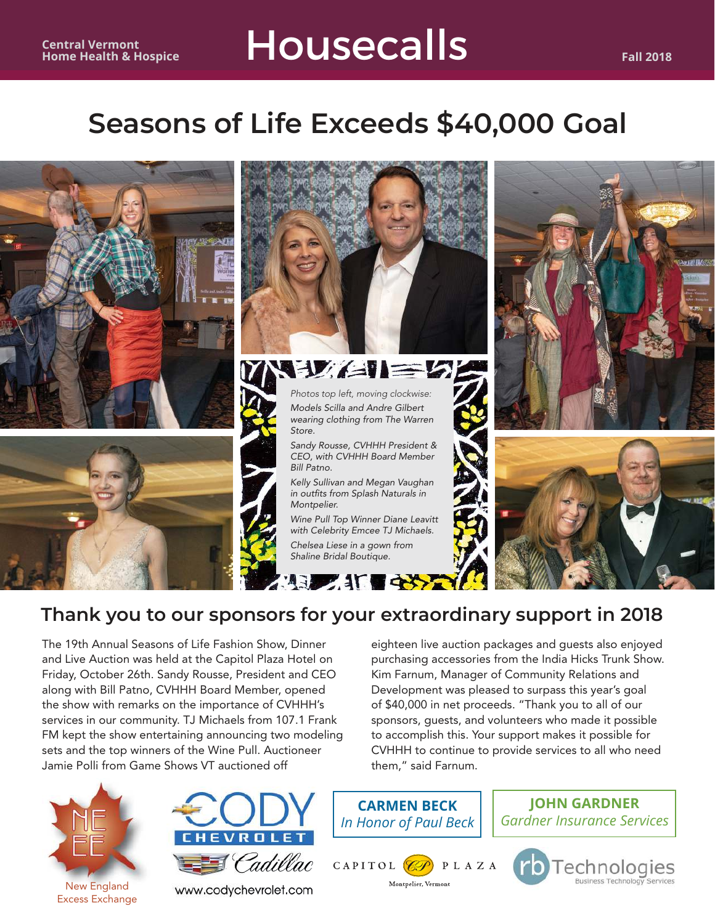

### **Thank you to our sponsors for your extraordinary support in 2018**

The 19th Annual Seasons of Life Fashion Show, Dinner and Live Auction was held at the Capitol Plaza Hotel on Friday, October 26th. Sandy Rousse, President and CEO along with Bill Patno, CVHHH Board Member, opened the show with remarks on the importance of CVHHH's services in our community. TJ Michaels from 107.1 Frank FM kept the show entertaining announcing two modeling sets and the top winners of the Wine Pull. Auctioneer Jamie Polli from Game Shows VT auctioned off





www.codychevrolet.com

**CARMEN BECK** *In Honor of Paul Beck*

them," said Farnum.



**JOHN GARDNER** *Gardner Insurance Services*

eighteen live auction packages and guests also enjoyed purchasing accessories from the India Hicks Trunk Show. Kim Farnum, Manager of Community Relations and Development was pleased to surpass this year's goal of \$40,000 in net proceeds. "Thank you to all of our sponsors, guests, and volunteers who made it possible to accomplish this. Your support makes it possible for CVHHH to continue to provide services to all who need

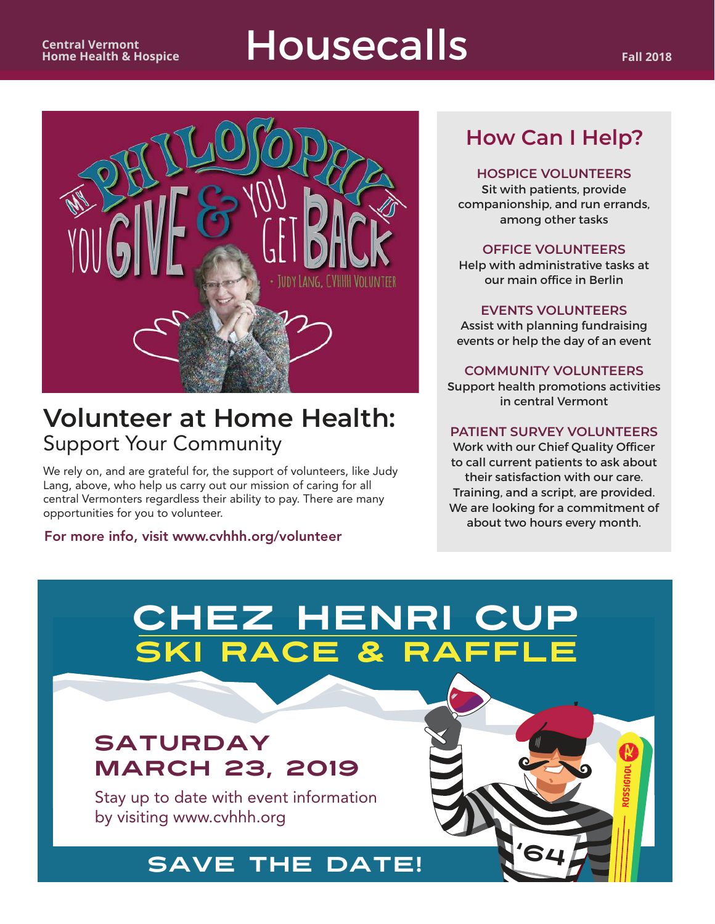

### **Volunteer at Home Health:** Support Your Community

We rely on, and are grateful for, the support of volunteers, like Judy Lang, above, who help us carry out our mission of caring for all central Vermonters regardless their ability to pay. There are many opportunities for you to volunteer.

For more info, visit www.cvhhh.org/volunteer

### **How Can I Help?**

#### **HOSPICE VOLUNTEERS**

Sit with patients, provide companionship, and run errands, among other tasks

#### **OFFICE VOLUNTEERS**

Help with administrative tasks at our main office in Berlin

**EVENTS VOLUNTEERS** Assist with planning fundraising events or help the day of an event

**COMMUNITY VOLUNTEERS** Support health promotions activities in central Vermont

#### **PATIENT SURVEY VOLUNTEERS**

Work with our Chief Quality Officer to call current patients to ask about their satisfaction with our care. Training, and a script, are provided. We are looking for a commitment of about two hours every month.

'64

## Chez Henri Cup SKI RACE & RAFFLE

### SATURDAY MARCH 23, 2019

Stay up to date with event information by visiting www.cvhhh.org

### SAVE THE DATE!